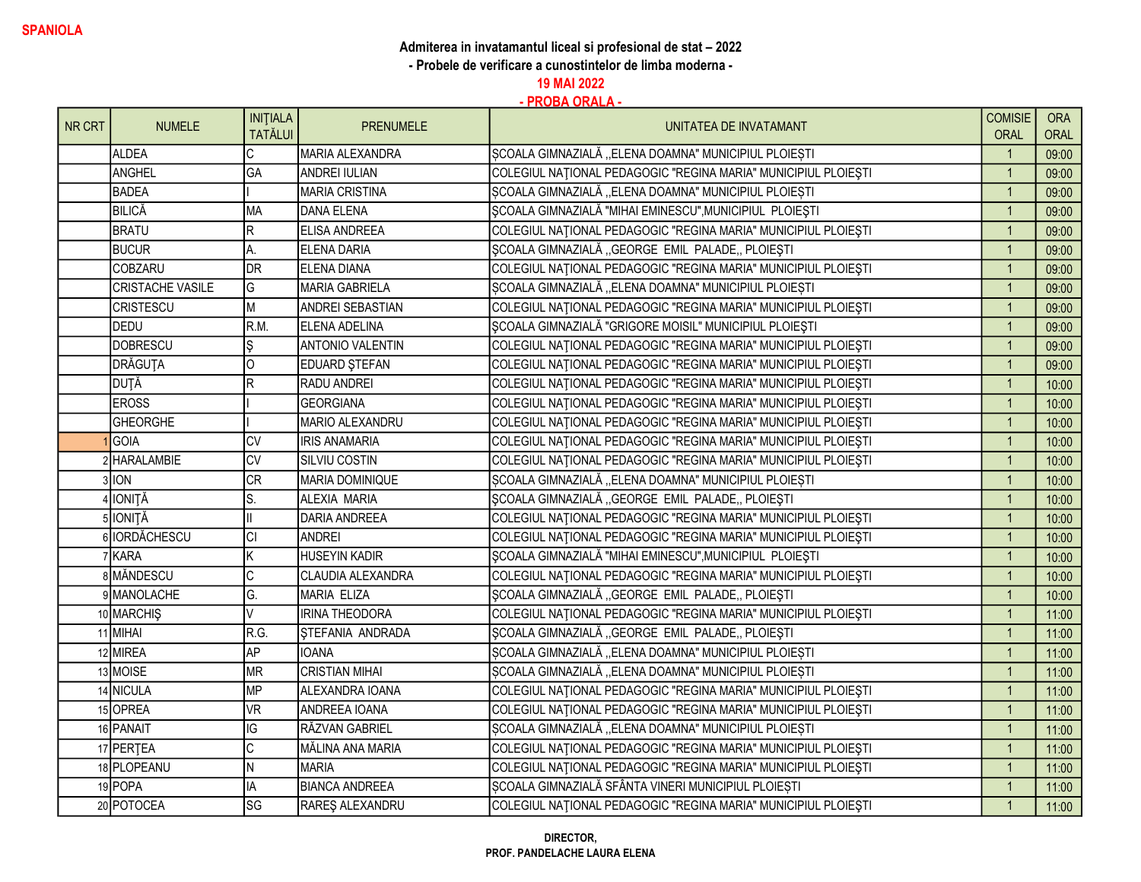- Probele de verificare a cunostintelor de limba moderna -

19 MAI 2022

| NR CRT | <b>NUMELE</b>           | <b>INITIALA</b> | <b>PRENUMELE</b>        | UNITATEA DE INVATAMANT                                         | <b>COMISIE</b> | <b>ORA</b>  |
|--------|-------------------------|-----------------|-------------------------|----------------------------------------------------------------|----------------|-------------|
|        |                         | <b>TATĂLUI</b>  |                         |                                                                | <b>ORAL</b>    | <b>ORAL</b> |
|        | ALDEA                   | C               | MARIA ALEXANDRA         | ȘCOALA GIMNAZIALĂ "ELENA DOAMNA" MUNICIPIUL PLOIEȘTI           | $\overline{1}$ | 09:00       |
|        | ANGHEL                  | GA              | <b>ANDREI IULIAN</b>    | COLEGIUL NAȚIONAL PEDAGOGIC "REGINA MARIA" MUNICIPIUL PLOIEȘTI | $\overline{1}$ | 09:00       |
|        | <b>BADEA</b>            |                 | <b>MARIA CRISTINA</b>   | SCOALA GIMNAZIALĂ "ELENA DOAMNA" MUNICIPIUL PLOIEȘTI           | $\overline{1}$ | 09:00       |
|        | BILICĂ                  | <b>MA</b>       | DANA ELENA              | SCOALA GIMNAZIALĂ "MIHAI EMINESCU", MUNICIPIUL PLOIEȘTI        | $\overline{1}$ | 09:00       |
|        | <b>BRATU</b>            | $\mathsf R$     | ELISA ANDREEA           | COLEGIUL NAȚIONAL PEDAGOGIC "REGINA MARIA" MUNICIPIUL PLOIEȘTI | $\overline{1}$ | 09:00       |
|        | <b>BUCUR</b>            | А.              | ELENA DARIA             | SCOALA GIMNAZIALĂ "GEORGE EMIL PALADE, PLOIEȘTI                | $\overline{1}$ | 09:00       |
|        | <b>COBZARU</b>          | DR              | ELENA DIANA             | COLEGIUL NAȚIONAL PEDAGOGIC "REGINA MARIA" MUNICIPIUL PLOIEȘTI | $\overline{1}$ | 09:00       |
|        | <b>CRISTACHE VASILE</b> | lG.             | <b>MARIA GABRIELA</b>   | ȘCOALA GIMNAZIALĂ "ELENA DOAMNA" MUNICIPIUL PLOIEȘTI           | $\overline{1}$ | 09:00       |
|        | <b>CRISTESCU</b>        | lм              | ANDREI SEBASTIAN        | COLEGIUL NAȚIONAL PEDAGOGIC "REGINA MARIA" MUNICIPIUL PLOIEȘTI | $\overline{1}$ | 09:00       |
|        | DEDU                    | R.M.            | ELENA ADELINA           | SCOALA GIMNAZIALĂ "GRIGORE MOISIL" MUNICIPIUL PLOIEȘTI         | $\overline{1}$ | 09:00       |
|        | <b>DOBRESCU</b>         | Ş               | <b>ANTONIO VALENTIN</b> | COLEGIUL NAȚIONAL PEDAGOGIC "REGINA MARIA" MUNICIPIUL PLOIEȘTI | $\overline{1}$ | 09:00       |
|        | DRĂGUTA                 | 0               | EDUARD ŞTEFAN           | COLEGIUL NAȚIONAL PEDAGOGIC "REGINA MARIA" MUNICIPIUL PLOIEȘTI | $\overline{1}$ | 09:00       |
|        | <b>DUTĂ</b>             | R               | RADU ANDREI             | COLEGIUL NAȚIONAL PEDAGOGIC "REGINA MARIA" MUNICIPIUL PLOIEȘTI | $\overline{1}$ | 10:00       |
|        | <b>EROSS</b>            |                 | <b>GEORGIANA</b>        | COLEGIUL NAȚIONAL PEDAGOGIC "REGINA MARIA" MUNICIPIUL PLOIEȘTI | $\overline{1}$ | 10:00       |
|        | <b>GHEORGHE</b>         |                 | MARIO ALEXANDRU         | COLEGIUL NAȚIONAL PEDAGOGIC "REGINA MARIA" MUNICIPIUL PLOIEȘTI | $\overline{1}$ | 10:00       |
|        | <b>IGOIA</b>            | lcv             | <b>IRIS ANAMARIA</b>    | COLEGIUL NAȚIONAL PEDAGOGIC "REGINA MARIA" MUNICIPIUL PLOIEȘTI | $\overline{1}$ | 10:00       |
|        | 2 HARALAMBIE            | <b>CV</b>       | SILVIU COSTIN           | COLEGIUL NAȚIONAL PEDAGOGIC "REGINA MARIA" MUNICIPIUL PLOIEȘTI | $\overline{1}$ | 10:00       |
|        | $3$ $10N$               | <b>CR</b>       | MARIA DOMINIQUE         | ȘCOALA GIMNAZIALĂ "ELENA DOAMNA" MUNICIPIUL PLOIEȘTI           | $\overline{1}$ | 10:00       |
|        | 4 IONITĂ                | S.              | ALEXIA MARIA            | ȘCOALA GIMNAZIALĂ "GEORGE EMIL PALADE, PLOIEȘTI                | $\overline{1}$ | 10:00       |
|        | 5 IONITĂ                | $\mathsf{II}$   | <b>DARIA ANDREEA</b>    | COLEGIUL NAȚIONAL PEDAGOGIC "REGINA MARIA" MUNICIPIUL PLOIEȘTI | $\overline{1}$ | 10:00       |
|        | 6 <b>IORDĂCHESCU</b>    | <b>CI</b>       | <b>ANDREI</b>           | COLEGIUL NAȚIONAL PEDAGOGIC "REGINA MARIA" MUNICIPIUL PLOIEȘTI | $\overline{1}$ | 10:00       |
|        | 7 KARA                  | Κ               | <b>HUSEYIN KADIR</b>    | SCOALA GIMNAZIALĂ "MIHAI EMINESCU", MUNICIPIUL PLOIEȘTI        | $\overline{1}$ | 10:00       |
|        | <b>8</b> MÄNDESCU       | C               | CLAUDIA ALEXANDRA       | COLEGIUL NAȚIONAL PEDAGOGIC "REGINA MARIA" MUNICIPIUL PLOIEȘTI | $\overline{1}$ | 10:00       |
|        | 9 MANOLACHE             | G.              | <b>MARIA ELIZA</b>      | ȘCOALA GIMNAZIALĂ "GEORGE EMIL PALADE, PLOIEȘTI                | $\overline{1}$ | 10:00       |
|        | 10 MARCHIS              | V               | <b>IRINA THEODORA</b>   | COLEGIUL NAȚIONAL PEDAGOGIC "REGINA MARIA" MUNICIPIUL PLOIEȘTI | $\overline{1}$ | 11:00       |
|        | 11 MIHAI                | R.G.            | STEFANIA ANDRADA        | ȘCOALA GIMNAZIALĂ "GEORGE EMIL PALADE, PLOIEȘTI                | $\overline{1}$ | 11:00       |
|        | 12 MIREA                | AP              | <b>IOANA</b>            | SCOALA GIMNAZIALĂ "ELENA DOAMNA" MUNICIPIUL PLOIEȘTI           | $\overline{1}$ | 11:00       |
|        | 13 MOISE                | <b>MR</b>       | <b>CRISTIAN MIHAI</b>   | ȘCOALA GIMNAZIALĂ "ELENA DOAMNA" MUNICIPIUL PLOIEȘTI           | $\overline{1}$ | 11:00       |
|        | 14 NICULA               | <b>MP</b>       | ALEXANDRA IOANA         | COLEGIUL NAȚIONAL PEDAGOGIC "REGINA MARIA" MUNICIPIUL PLOIEȘTI | $\overline{1}$ | 11:00       |
|        | 15 OPREA                | <b>VR</b>       | ANDREEA IOANA           | COLEGIUL NAȚIONAL PEDAGOGIC "REGINA MARIA" MUNICIPIUL PLOIEȘTI | $\overline{1}$ | 11:00       |
|        | 16 PANAIT               | IG              | RĂZVAN GABRIEL          | ȘCOALA GIMNAZIALĂ "ELENA DOAMNA" MUNICIPIUL PLOIEȘTI           | $\overline{1}$ | 11:00       |
|        | 17 PERTEA               | $\overline{c}$  | MĂLINA ANA MARIA        | COLEGIUL NAȚIONAL PEDAGOGIC "REGINA MARIA" MUNICIPIUL PLOIEȘTI | $\overline{1}$ | 11:00       |
|        | 18 PLOPEANU             | N               | <b>MARIA</b>            | COLEGIUL NAȚIONAL PEDAGOGIC "REGINA MARIA" MUNICIPIUL PLOIEȘTI | $\overline{1}$ | 11:00       |
|        | 19 POPA                 | IA              | <b>BIANCA ANDREEA</b>   | ȘCOALA GIMNAZIALĂ SFÂNTA VINERI MUNICIPIUL PLOIEȘTI            | $\overline{1}$ | 11:00       |
|        | 20 POTOCEA              | lsg             | RAREŞ ALEXANDRU         | COLEGIUL NAȚIONAL PEDAGOGIC "REGINA MARIA" MUNICIPIUL PLOIEȘTI | $\overline{1}$ | 11:00       |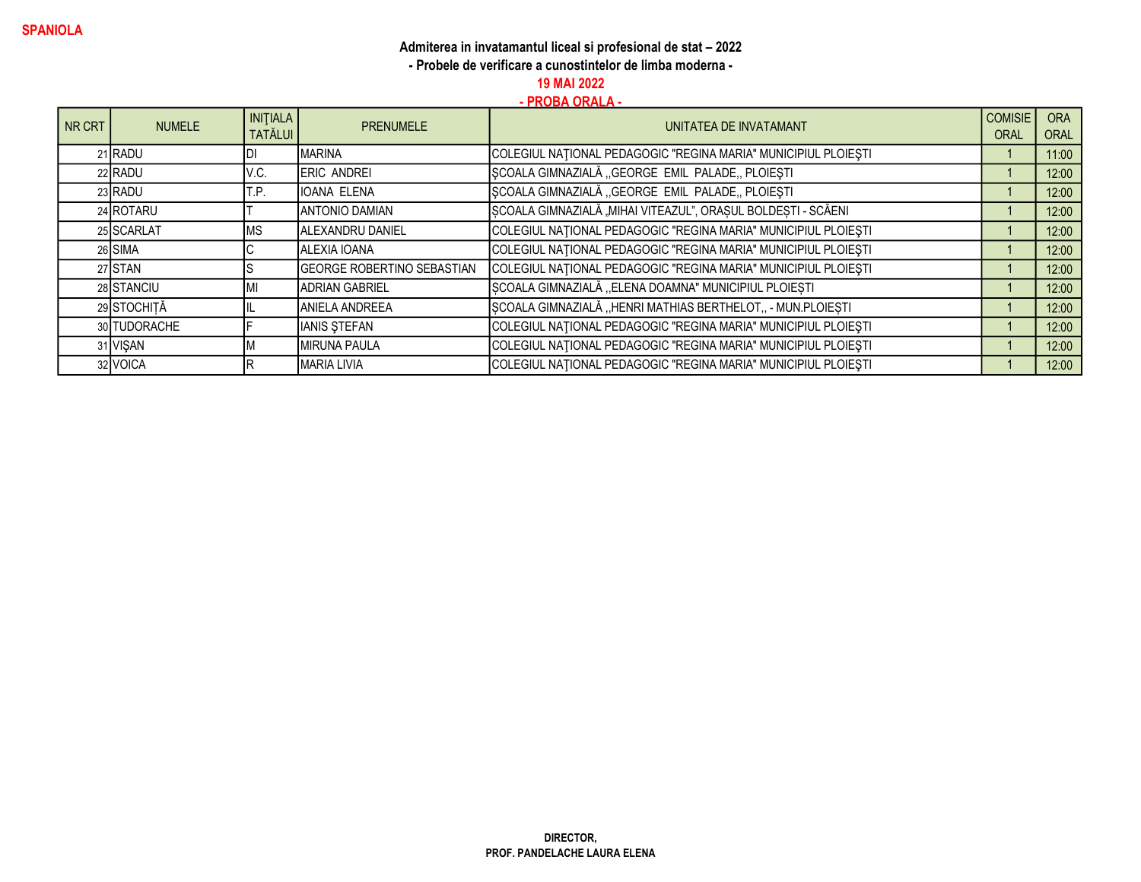- Probele de verificare a cunostintelor de limba moderna -

19 MAI 2022

| NR CRT | <b>NUMELE</b> | <b>INITIALA</b><br><b>TATĂLUI</b> | <b>PRENUMELE</b>                  | UNITATEA DE INVATAMANT                                         | <b>COMISIE</b><br><b>ORAL</b> | <b>ORA</b><br>ORAL |
|--------|---------------|-----------------------------------|-----------------------------------|----------------------------------------------------------------|-------------------------------|--------------------|
|        | 21 RADU       |                                   | <b>MARINA</b>                     | COLEGIUL NAȚIONAL PEDAGOGIC "REGINA MARIA" MUNICIPIUL PLOIEȘTI |                               | 11:00              |
|        | 22 RADU       | V.C.                              | <b>IERIC ANDREI</b>               | SCOALA GIMNAZIALĂ "GEORGE EMIL PALADE, PLOIESTI                |                               | 12:00              |
|        | 23 RADU       | T.P.                              | <b>IIOANA ELENA</b>               | ȘCOALA GIMNAZIALĂ "GEORGE EMIL PALADE, PLOIEȘTI                |                               | 12:00              |
|        | 24 ROTARU     |                                   | <b>JANTONIO DAMIAN</b>            | SCOALA GIMNAZIALĂ "MIHAI VITEAZUL", ORAȘUL BOLDEȘTI - SCĂENI   |                               | 12:00              |
|        | 25 SCARLAT    | <b>MS</b>                         | ALEXANDRU DANIEL                  | COLEGIUL NAȚIONAL PEDAGOGIC "REGINA MARIA" MUNICIPIUL PLOIEȘTI |                               | 12:00              |
|        | 26 SIMA       |                                   | ALEXIA IOANA                      | COLEGIUL NAȚIONAL PEDAGOGIC "REGINA MARIA" MUNICIPIUL PLOIEȘTI |                               | 12:00              |
|        | 27 STAN       |                                   | <b>GEORGE ROBERTINO SEBASTIAN</b> | COLEGIUL NATIONAL PEDAGOGIC "REGINA MARIA" MUNICIPIUL PLOIEȘTI |                               | 12:00              |
|        | 28 STANCIU    | МI                                | ADRIAN GABRIEL                    | ȘCOALA GIMNAZIALĂ "ELENA DOAMNA" MUNICIPIUL PLOIEȘTI           |                               | 12:00              |
|        | 29 STOCHITĂ   |                                   | IANIELA ANDREEA                   | SCOALA GIMNAZIALĂ "HENRI MATHIAS BERTHELOT,, - MUN.PLOIESTI    |                               | 12:00              |
|        | 30 TUDORACHE  |                                   | <b>IANIS STEFAN</b>               | COLEGIUL NATIONAL PEDAGOGIC "REGINA MARIA" MUNICIPIUL PLOIEȘTI |                               | 12:00              |
|        | 31 VISAN      |                                   | <b>IMIRUNA PAULA</b>              | COLEGIUL NAȚIONAL PEDAGOGIC "REGINA MARIA" MUNICIPIUL PLOIEȘTI |                               | 12:00              |
|        | 32 VOICA      |                                   | IMARIA LIVIA                      | COLEGIUL NAȚIONAL PEDAGOGIC "REGINA MARIA" MUNICIPIUL PLOIEȘTI |                               | 12:00              |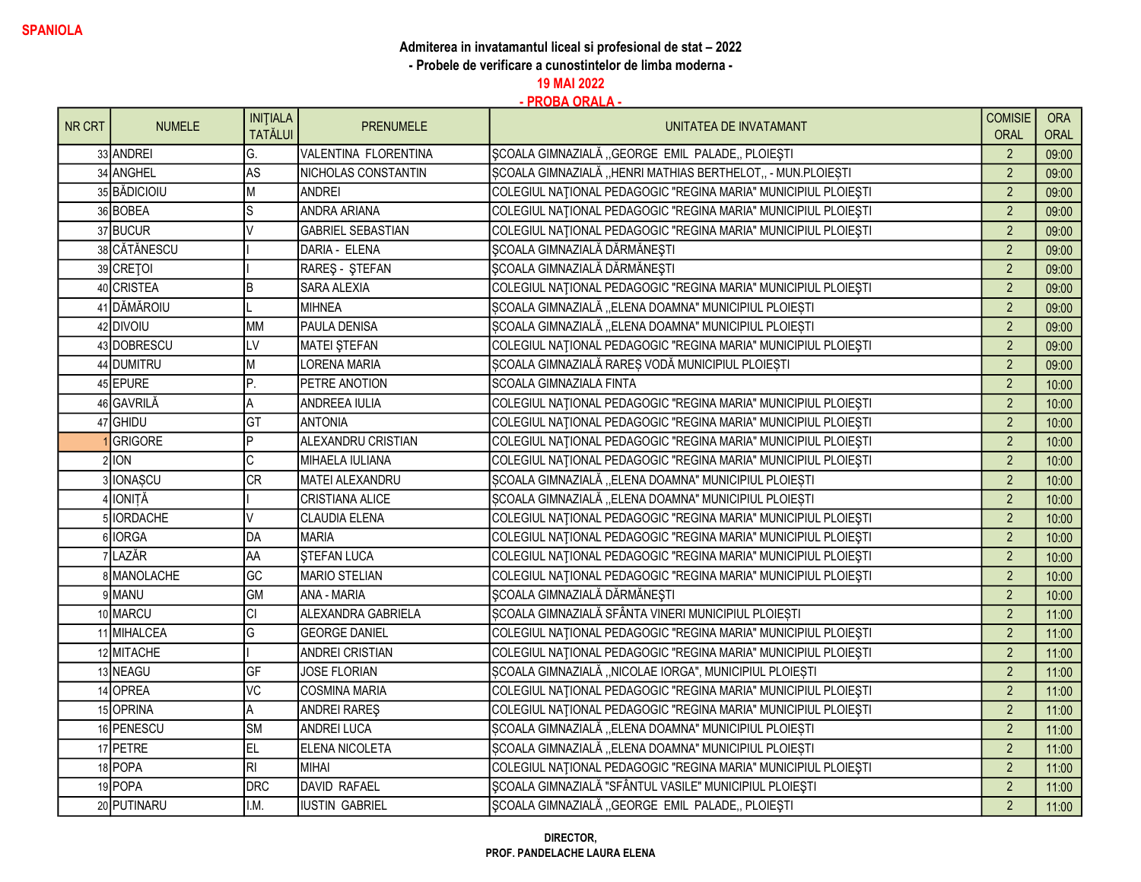- Probele de verificare a cunostintelor de limba moderna -

19 MAI 2022

| NR CRT | <b>NUMELE</b>   | <b>INITIALA</b><br><b>TATĂLUI</b> | <b>PRENUMELE</b>           | UNITATEA DE INVATAMANT                                         | <b>COMISIE</b><br><b>ORAL</b> | <b>ORA</b><br><b>ORAL</b> |
|--------|-----------------|-----------------------------------|----------------------------|----------------------------------------------------------------|-------------------------------|---------------------------|
|        | 33 ANDREI       | G.                                | VALENTINA FLORENTINA       | SCOALA GIMNAZIALĂ "GEORGE EMIL PALADE, PLOIEȘTI                | $\overline{2}$                | 09:00                     |
|        | 34 ANGHEL       | AS                                | <b>NICHOLAS CONSTANTIN</b> | SCOALA GIMNAZIALĂ "HENRI MATHIAS BERTHELOT,, - MUN.PLOIEȘTI    | $\overline{2}$                | 09:00                     |
|        | 35 BĂDICIOIU    | М                                 | ANDREI                     | COLEGIUL NAȚIONAL PEDAGOGIC "REGINA MARIA" MUNICIPIUL PLOIEȘTI | $\overline{2}$                | 09:00                     |
|        | 36 BOBEA        | S                                 | ANDRA ARIANA               | COLEGIUL NAȚIONAL PEDAGOGIC "REGINA MARIA" MUNICIPIUL PLOIEȘTI | $\overline{2}$                | 09:00                     |
|        | 37 BUCUR        | $\sqrt{}$                         | <b>GABRIEL SEBASTIAN</b>   | COLEGIUL NAȚIONAL PEDAGOGIC "REGINA MARIA" MUNICIPIUL PLOIEȘTI | $\overline{2}$                | 09:00                     |
|        | 38 CĂTĂNESCU    |                                   | DARIA - ELENA              | ŞCOALA GIMNAZIALĂ DĂRMĂNEȘTI                                   | $\overline{2}$                | 09:00                     |
|        | 39 CRETOI       |                                   | RAREŞ - ŞTEFAN             | <b>ŞCOALA GIMNAZIALĂ DĂRMĂNEȘTI</b>                            | $\overline{2}$                | 09:00                     |
|        | 40 CRISTEA      | B                                 | SARA ALEXIA                | COLEGIUL NAȚIONAL PEDAGOGIC "REGINA MARIA" MUNICIPIUL PLOIEȘTI | $\overline{2}$                | 09:00                     |
|        | 41 DĂMĂROIU     |                                   | MIHNEA                     | SCOALA GIMNAZIALĂ "ELENA DOAMNA" MUNICIPIUL PLOIESTI           | $\overline{2}$                | 09:00                     |
|        | 42 DIVOIU       | <b>MM</b>                         | <b>PAULA DENISA</b>        | SCOALA GIMNAZIALĂ "ELENA DOAMNA" MUNICIPIUL PLOIESTI           | $\overline{2}$                | 09:00                     |
|        | 43 DOBRESCU     | LV                                | MATEI STEFAN               | COLEGIUL NATIONAL PEDAGOGIC "REGINA MARIA" MUNICIPIUL PLOIEȘTI | $\overline{2}$                | 09:00                     |
|        | 44 DUMITRU      | М                                 | LORENA MARIA               | ȘCOALA GIMNAZIALĂ RAREȘ VODĂ MUNICIPIUL PLOIEȘTI               | $\overline{2}$                | 09:00                     |
|        | 45 EPURE        | P.                                | <b>PETRE ANOTION</b>       | SCOALA GIMNAZIALA FINTA                                        | $\overline{2}$                | 10:00                     |
|        | 46 GAVRILĂ      | А                                 | ANDREEA IULIA              | COLEGIUL NAȚIONAL PEDAGOGIC "REGINA MARIA" MUNICIPIUL PLOIEȘTI | $\overline{2}$                | 10:00                     |
|        | 47 GHIDU        | GT                                | <b>ANTONIA</b>             | COLEGIUL NAȚIONAL PEDAGOGIC "REGINA MARIA" MUNICIPIUL PLOIEȘTI | $\overline{2}$                | 10:00                     |
|        | <b>GRIGORE</b>  | P                                 | ALEXANDRU CRISTIAN         | COLEGIUL NAȚIONAL PEDAGOGIC "REGINA MARIA" MUNICIPIUL PLOIEȘTI | $\overline{2}$                | 10:00                     |
|        | 21ION           | C                                 | MIHAELA IULIANA            | COLEGIUL NAȚIONAL PEDAGOGIC "REGINA MARIA" MUNICIPIUL PLOIEȘTI | $\overline{2}$                | 10:00                     |
|        | 3 IONAȘCU       | <b>CR</b>                         | MATEI ALEXANDRU            | ȘCOALA GIMNAZIALĂ "ELENA DOAMNA" MUNICIPIUL PLOIEȘTI           | $\overline{2}$                | 10:00                     |
|        | <b>IONITĂ</b>   |                                   | <b>CRISTIANA ALICE</b>     | ȘCOALA GIMNAZIALĂ "ELENA DOAMNA" MUNICIPIUL PLOIEȘTI           | $\overline{2}$                | 10:00                     |
|        | <b>IORDACHE</b> | V                                 | CLAUDIA ELENA              | COLEGIUL NAȚIONAL PEDAGOGIC "REGINA MARIA" MUNICIPIUL PLOIEȘTI | $\overline{2}$                | 10:00                     |
|        | 6 IORGA         | DA                                | MARIA                      | COLEGIUL NAȚIONAL PEDAGOGIC "REGINA MARIA" MUNICIPIUL PLOIEȘTI | $\overline{2}$                | 10:00                     |
|        | 7LAZĂR          | AA                                | <b>STEFAN LUCA</b>         | COLEGIUL NAȚIONAL PEDAGOGIC "REGINA MARIA" MUNICIPIUL PLOIEȘTI | $\overline{2}$                | 10:00                     |
|        | 8 MANOLACHE     | GC                                | MARIO STELIAN              | COLEGIUL NAȚIONAL PEDAGOGIC "REGINA MARIA" MUNICIPIUL PLOIEȘTI | $\overline{2}$                | 10:00                     |
|        | 9MANU           | <b>GM</b>                         | ANA - MARIA                | <b>ŞCOALA GIMNAZIALĂ DĂRMĂNEȘTI</b>                            | $\overline{2}$                | 10:00                     |
|        | 10 MARCU        | СI                                | ALEXANDRA GABRIELA         | SCOALA GIMNAZIALĂ SFÂNTA VINERI MUNICIPIUL PLOIEȘTI            | $\overline{2}$                | 11:00                     |
|        | 11 MIHALCEA     | G                                 | <b>GEORGE DANIEL</b>       | COLEGIUL NAȚIONAL PEDAGOGIC "REGINA MARIA" MUNICIPIUL PLOIEȘTI | $\overline{2}$                | 11:00                     |
|        | 12 MITACHE      |                                   | <b>ANDREI CRISTIAN</b>     | COLEGIUL NAȚIONAL PEDAGOGIC "REGINA MARIA" MUNICIPIUL PLOIEȘTI | $\overline{2}$                | 11:00                     |
|        | 13 NEAGU        | GF                                | JOSE FLORIAN               | ȘCOALA GIMNAZIALĂ "NICOLAE IORGA", MUNICIPIUL PLOIEȘTI         | $\overline{2}$                | 11:00                     |
|        | 14 OPREA        | VC                                | COSMINA MARIA              | COLEGIUL NAȚIONAL PEDAGOGIC "REGINA MARIA" MUNICIPIUL PLOIEȘTI | $\overline{2}$                | 11:00                     |
|        | 15 OPRINA       | Α                                 | <b>ANDREI RARES</b>        | COLEGIUL NAȚIONAL PEDAGOGIC "REGINA MARIA" MUNICIPIUL PLOIEȘTI | $\overline{2}$                | 11:00                     |
|        | 16 PENESCU      | <b>SM</b>                         | <b>ANDREI LUCA</b>         | SCOALA GIMNAZIALĂ "ELENA DOAMNA" MUNICIPIUL PLOIEȘTI           | $\overline{2}$                | 11:00                     |
|        | 17 PETRE        | EL.                               | <b>ELENA NICOLETA</b>      | ȘCOALA GIMNAZIALĂ "ELENA DOAMNA" MUNICIPIUL PLOIEȘTI           | $\overline{2}$                | 11:00                     |
|        | 18 POPA         | RI                                | MIHAI                      | COLEGIUL NAȚIONAL PEDAGOGIC "REGINA MARIA" MUNICIPIUL PLOIEȘTI | $\overline{2}$                | 11:00                     |
|        | 19 POPA         | <b>DRC</b>                        | DAVID RAFAEL               | ȘCOALA GIMNAZIALĂ "SFÂNTUL VASILE" MUNICIPIUL PLOIEȘTI         | $\overline{2}$                | 11:00                     |
|        | 20 PUTINARU     | I.M.                              | IUSTIN GABRIEL             | SCOALA GIMNAZIALĂ "GEORGE EMIL PALADE, PLOIEȘTI                | $\overline{2}$                | 11:00                     |